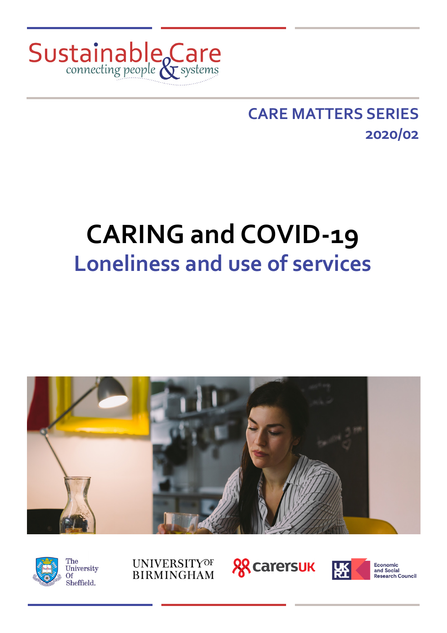

### **CARE MATTERS SERIES 2020/02**

# **CARING and COVID-19 Loneliness and use of services**





**UNIVERSITYOF BIRMINGHAM** 





**Economic**<br>and Social Research Council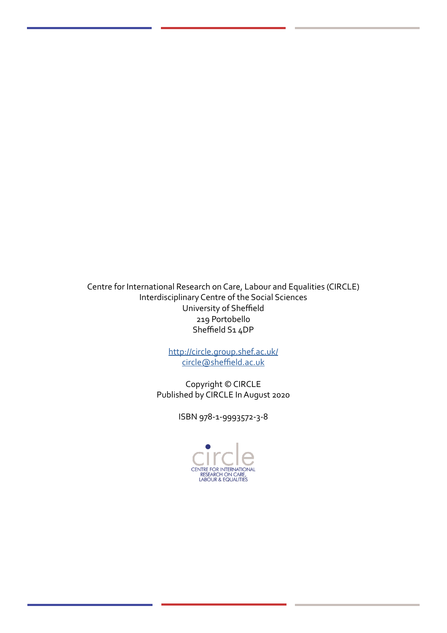Centre for International Research on Care, Labour and Equalities (CIRCLE) Interdisciplinary Centre of the Social Sciences University of Sheffield 219 Portobello Sheffield S1 4DP

> <http://circle.group.shef.ac.uk/> [circle@sheffield.ac.uk](mailto:circle@sheffield.ac.uk)

Copyright © CIRCLE Published by CIRCLE In August 2020

ISBN 978-1-9993572-3-8

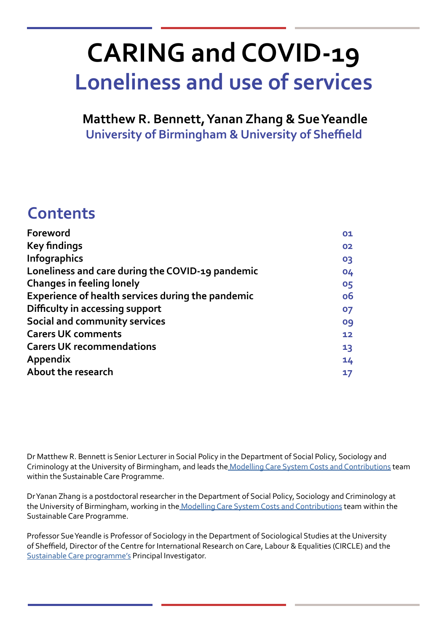# **CARING and COVID-19 Loneliness and use of services**

**Matthew R. Bennett, Yanan Zhang & Sue Yeandle University of Birmingham & University of Sheffield**

### **Contents**

| Foreword                                                 | 01 |
|----------------------------------------------------------|----|
| <b>Key findings</b>                                      | 02 |
| <b>Infographics</b>                                      | 03 |
| Loneliness and care during the COVID-19 pandemic         | 04 |
| <b>Changes in feeling lonely</b>                         | 05 |
| <b>Experience of health services during the pandemic</b> | 06 |
| Difficulty in accessing support                          | 07 |
| Social and community services                            | 09 |
| <b>Carers UK comments</b>                                | 12 |
| <b>Carers UK recommendations</b>                         | 13 |
| <b>Appendix</b>                                          | 14 |
| About the research                                       | 17 |
|                                                          |    |

Dr Matthew R. Bennett is Senior Lecturer in Social Policy in the Department of Social Policy, Sociology and Criminology at the University of Birmingham, and leads the [Modelling Care System Costs and Contributions](http://circle.group.shef.ac.uk/portfolio/modelling-care-system-costs-and-contributions/) team within the Sustainable Care Programme.

Dr Yanan Zhang is a postdoctoral researcher in the Department of Social Policy, Sociology and Criminology at the University of Birmingham, working in th[e Modelling Care System Costs and Contributions](http://circle.group.shef.ac.uk/portfolio/modelling-care-system-costs-and-contributions/) team within the Sustainable Care Programme.

Professor Sue Yeandle is Professor of Sociology in the Department of Sociological Studies at the University of Sheffield, Director of the Centre for International Research on Care, Labour & Equalities (CIRCLE) and the [Sustainable Care programme'](http://circle.group.shef.ac.uk/sustainable-care/)s Principal Investigator.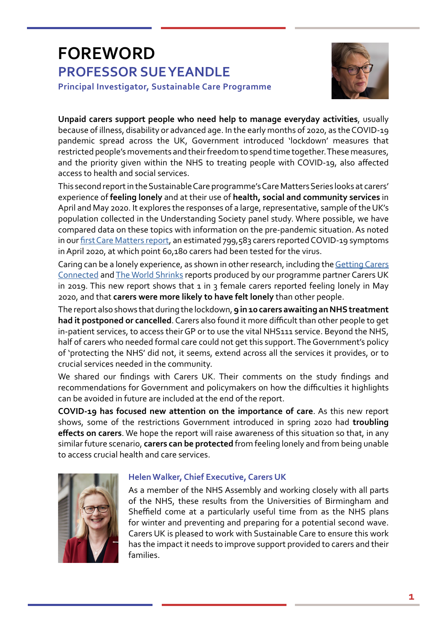### **FOREWORD PROFESSOR SUE YEANDLE Principal Investigator, Sustainable Care Programme**



**Unpaid carers support people who need help to manage everyday activities**, usually because of illness, disability or advanced age. In the early months of 2020, as the COVID-19 pandemic spread across the UK, Government introduced 'lockdown' measures that restricted people's movements and their freedom to spend time together. These measures, and the priority given within the NHS to treating people with COVID-19, also affected access to health and social services.

This second report in the Sustainable Care programme's Care Matters Series looks at carers' experience of **feeling lonely** and at their use of **health, social and community services** in April and May 2020. It explores the responses of a large, representative, sample of the UK's population collected in the Understanding Society panel study. Where possible, we have compared data on these topics with information on the pre-pandemic situation. As noted in our [first Care Matters report](http://circle.group.shef.ac.uk/wp-content/uploads/2020/06/Caring-and-COVID-19_Hunger-and-mental-wellbeing-2.pdf), an estimated 799,583 carers reported COVID-19 symptoms in April 2020, at which point 60,180 carers had been tested for the virus.

Caring can be a lonely experience, as shown in other research, including the [Getting Carers](https://www.carersweek.org/images/CW19_Research_Report_web.pdf)  [Connected](https://www.carersweek.org/images/CW19_Research_Report_web.pdf) and [The World Shrinks](https://www.carersuk.org/images/News__campaigns/The_world_Shrinks_Final.pdf) reports produced by our programme partner Carers UK in 2019. This new report shows that  $1$  in  $3$  female carers reported feeling lonely in May 2020, and that **carers were more likely to have felt lonely** than other people.

The report also shows that during the lockdown, **9 in 10 carers awaiting an NHS treatment had it postponed or cancelled**. Carers also found it more difficult than other people to get in-patient services, to access their GP or to use the vital NHS111 service. Beyond the NHS, half of carers who needed formal care could not get this support. The Government's policy of 'protecting the NHS' did not, it seems, extend across all the services it provides, or to crucial services needed in the community.

We shared our findings with Carers UK. Their comments on the study findings and recommendations for Government and policymakers on how the difficulties it highlights can be avoided in future are included at the end of the report.

**COVID-19 has focused new attention on the importance of care**. As this new report shows, some of the restrictions Government introduced in spring 2020 had **troubling effects on carers**. We hope the report will raise awareness of this situation so that, in any similar future scenario, **carers can be protected** from feeling lonely and from being unable to access crucial health and care services.



### **Helen Walker, Chief Executive, Carers UK**

As a member of the NHS Assembly and working closely with all parts of the NHS, these results from the Universities of Birmingham and Sheffield come at a particularly useful time from as the NHS plans for winter and preventing and preparing for a potential second wave. Carers UK is pleased to work with Sustainable Care to ensure this work has the impact it needs to improve support provided to carers and their families.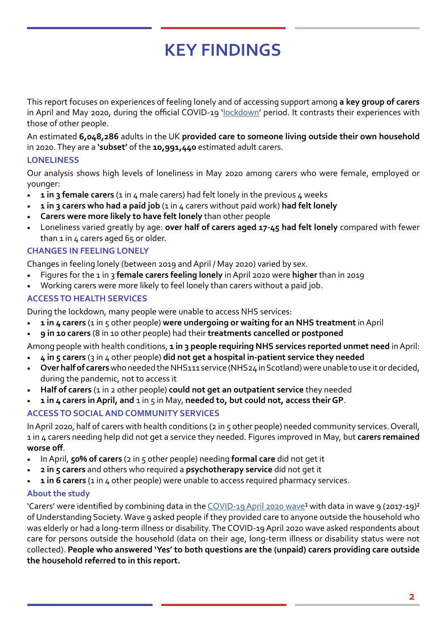# **KEY FINDINGS**

This report focuses on experiences of feeling lonely and of accessing support among **a key group of carers** in April and May 2020, during the official COVID-19 ['lockdown](https://commonslibrary.parliament.uk/research-briefings/cbp-8875/)' period. It contrasts their experiences with those of other people.

An estimated **6,048,286** adults in the UK **provided care to someone living outside their own household** in 2020. They are a **'subset'** of the **10,991,440** estimated adult carers.

### **LONELINESS**

Our analysis shows high levels of loneliness in May 2020 among carers who were female, employed or younger:

- **1 in 3 female carers** (1 in 4 male carers) had felt lonely in the previous 4 weeks
- **1** in 3 carers who had a paid job (1 in 4 carers without paid work) had felt lonely
- **Carers were more likely to have felt lonely** than other people
- Loneliness varied greatly by age: **over half of carers aged 17-45 had felt lonely** compared with fewer than 1 in 4 carers aged 65 or older.

### **CHANGES IN FEELING LONELY**

Changes in feeling lonely (between 2019 and April / May 2020) varied by sex.

- Figures for the 1 in 3 **female carers feeling lonely** in April 2020 were **higher** than in 2019
- Working carers were more likely to feel lonely than carers without a paid job.

### **ACCESS TO HEALTH SERVICES**

During the lockdown, many people were unable to access NHS services:

- **1 in 4 carers** (1 in 5 other people) **were undergoing or waiting for an NHS treatment** in April
- **9 in 10 carers** (8 in 10 other people) had their **treatments cancelled or postponed**

Among people with health conditions, **1 in 3 people requiring NHS services reported unmet need** in April:

- **4 in 5 carers** (3 in 4 other people) **did not get a hospital in-patient service they needed**
- **Over half of carers** who needed the NHS111 service (NHS24 in Scotland) were unable to use it or decided, during the pandemic, not to access it
- **Half of carers** (1 in 2 other people) **could not get an outpatient service** they needed
- **1 in 4 carers in April, and** 1 in 5 in May, **needed to, but could not, access their GP**.

### **ACCESS TO SOCIAL AND COMMUNITY SERVICES**

In April 2020, half of carers with health conditions (2 in 5 other people) needed community services. Overall, 1 in 4 carers needing help did not get a service they needed. Figures improved in May, but **carers remained worse off**.

- In April, **50% of carers** (2 in 5 other people) needing **formal care** did not get it
- **2 in 5 carers** and others who required a **psychotherapy service** did not get it
- **1 in 6 carers** (1 in 4 other people) were unable to access required pharmacy services.

### **About the study**

'Carers' were identified by combining data in the [COVID-19 April 2020 wave](https://www.understandingsociety.ac.uk/research/themes/covid-19)<sup>1</sup> with data in wave 9 (2017-19)<sup>2</sup> of Understanding Society. Wave 9 asked people if they provided care to anyone outside the household who was elderly or had a long-term illness or disability. The COVID-19 April 2020 wave asked respondents about care for persons outside the household (data on their age, long-term illness or disability status were not collected). **People who answered 'Yes' to both questions are the (unpaid) carers providing care outside the household referred to in this report.**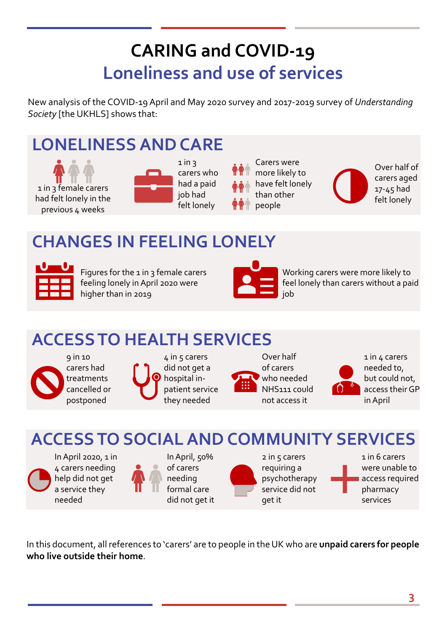# **CARING and COVID-19 Loneliness and use of services**

New analysis of the COVID-19 April and May 2020 survey and 2017-2019 survey of *Understanding Society* [the UKHLS] shows that:

# **LONELINESS AND CARE**

1 in 3 female carers had felt lonely in the previous 4 weeks



carers who had a paid felt lonely

Carers were more likely to have felt lonely than other people





### **CHANGES IN FEELING LONELY**



Figures for the  $1$  in  $3$  female carers feeling lonely in April 2020 were higher than in 2019



Working carers were more likely to feel lonely than carers without a paid iob

## **ACCESS TO HEALTH SERVICES**



9 in 10 carers had treatments cancelled or postponed



Over half of carers who needed NHS111 could not access it



1 in 4 carers needed to, but could not, access their GP in April

**ACCESS TO SOCIAL AND COMMUNITY SERVICES**

In April 2020, 1 in 4 carers needing help did not get a service they needed



In April, 50% of carers needing formal care did not get it

requiring a get it

 $2$  in  $5$  carers psychotherapy service did not 1 in 6 carers were unable to access required pharmacy services

In this document, all references to 'carers' are to people in the UK who are **unpaid carers for people who live outside their home**.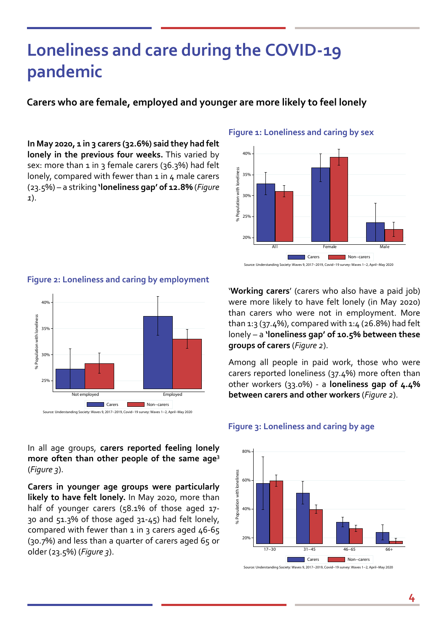### **Loneliness and care during the COVID-19 pandemic**

**Carers who are female, employed and younger are more likely to feel lonely**

**In May 2020, 1 in 3 carers (32.6%) said they had felt lonely in the previous four weeks.** This varied by sex: more than 1 in 3 female carers (36.3%) had felt lonely, compared with fewer than 1 in 4 male carers (23.5%) – a striking **'loneliness gap' of 12.8%** (*Figure 1*).

#### **Figure 1: Loneliness and caring by sex**



Source: Understanding Society: Waves 9, 2017−2019, Covid−19 survey: Waves 1−2, April−May 2020



**Figure 2: Loneliness and caring by employment**

'**Working carers**' (carers who also have a paid job) were more likely to have felt lonely (in May 2020) than carers who were not in employment. More than 1:3 (37.4%), compared with 1:4 (26.8%) had felt lonely – a **'loneliness gap' of 10.5% between these groups of carers** (*Figure 2*).

Among all people in paid work, those who were carers reported loneliness (37.4%) more often than other workers (33.0%) - a **loneliness gap of 4.4% between carers and other workers** (*Figure 2*).

### **Figure 3: Loneliness and caring by age**



In all age groups, **carers reported feeling lonely**  more often than other people of the same age<sup>3</sup> (*Figure 3*).

**Carers in younger age groups were particularly likely to have felt lonely.** In May 2020, more than half of younger carers (58.1% of those aged 17- 30 and 51.3% of those aged 31-45) had felt lonely, compared with fewer than  $1$  in 3 carers aged  $46-65$ (30.7%) and less than a quarter of carers aged 65 or older (23.5%) (*Figure 3*).

Source: Understanding Society: Waves 9, 2017−2019, Covid−19 survey: Waves 1−2, April−May 2020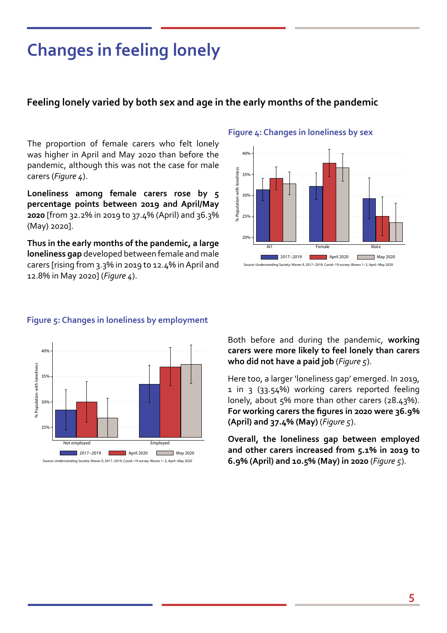### **Changes in feeling lonely**

### **Feeling lonely varied by both sex and age in the early months of the pandemic**

The proportion of female carers who felt lonely was higher in April and May 2020 than before the pandemic, although this was not the case for male carers (*Figure 4*).

**Loneliness among female carers rose by 5 percentage points between 2019 and April/May 2020** [from 32.2% in 2019 to 37.4% (April) and 36.3% (May) 2020].

**Thus in the early months of the pandemic, a large loneliness gap** developed between female and male carers [rising from 3.3% in 2019 to 12.4% in April and 12.8% in May 2020] (*Figure 4*).

#### **Figure 4: Changes in loneliness by sex**



### **Figure 5: Changes in loneliness by employment**



Source: Understanding Society: Waves 9, 2017−2019, Covid−19 survey: Waves 1−2, April−May 2020

Both before and during the pandemic, **working carers were more likely to feel lonely than carers who did not have a paid job** (*Figure 5*).

Here too, a larger 'loneliness gap' emerged. In 2019, 1 in 3 (33.54%) working carers reported feeling lonely, about 5% more than other carers (28.43%). **For working carers the figures in 2020 were 36.9% (April) and 37.4% (May)** (*Figure 5*).

**Overall, the loneliness gap between employed and other carers increased from 5.1% in 2019 to 6.9% (April) and 10.5% (May) in 2020** (*Figure 5*).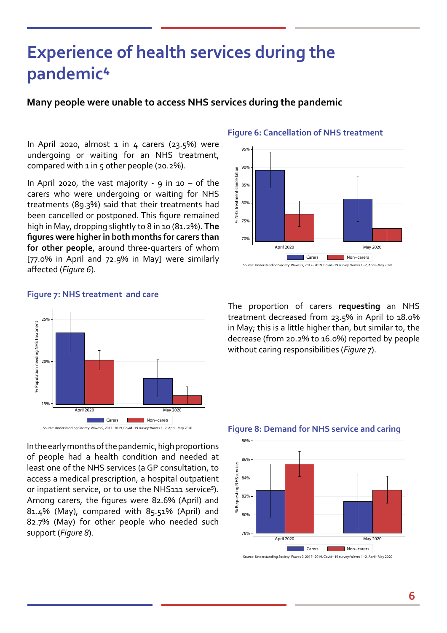### **Experience of health services during the pandemic⁴**

### **Many people were unable to access NHS services during the pandemic**

In April 2020, almost  $1$  in  $4$  carers (23.5%) were undergoing or waiting for an NHS treatment, compared with  $1$  in  $5$  other people (20.2%).

In April 2020, the vast majority - 9 in  $10 - of$  the carers who were undergoing or waiting for NHS treatments (89.3%) said that their treatments had been cancelled or postponed. This figure remained high in May, dropping slightly to 8 in 10 (81.2%). **The figures were higher in both months for carers than for other people**, around three-quarters of whom [77.0% in April and 72.9% in May] were similarly affected (*Figure 6*).

#### **Figure 6: Cancellation of NHS treatment**







In the early months of the pandemic, high proportions of people had a health condition and needed at least one of the NHS services (a GP consultation, to access a medical prescription, a hospital outpatient or inpatient service, or to use the NHS111 service<sup>5</sup>). Among carers, the figures were 82.6% (April) and 81.4% (May), compared with 85.51% (April) and 82.7% (May) for other people who needed such support (*Figure 8*).

The proportion of carers **requesting** an NHS treatment decreased from 23.5% in April to 18.0% in May; this is a little higher than, but similar to, the decrease (from 20.2% to 16.0%) reported by people without caring responsibilities (*Figure 7*).

#### **Figure 8: Demand for NHS service and caring**

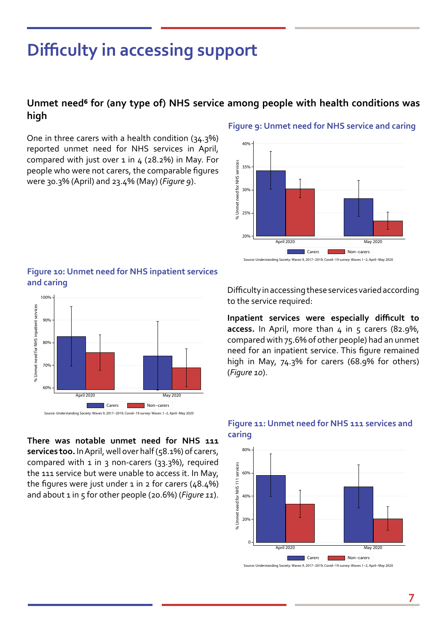### **Difficulty in accessing support**

### **Unmet need⁶ for (any type of) NHS service among people with health conditions was high**

One in three carers with a health condition (34.3%) reported unmet need for NHS services in April, compared with just over  $1$  in  $4$  (28.2%) in May. For people who were not carers, the comparable figures were 30.3% (April) and 23.4% (May) (*Figure 9*).



#### **Figure 9: Unmet need for NHS service and caring**





**caring There was notable unmet need for NHS 111 services too.** In April, well over half (58.1%) of carers, compared with 1 in 3 non-carers (33.3%), required the 111 service but were unable to access it. In May, the figures were just under  $1$  in  $2$  for carers (48.4%) and about 1 in 5 for other people (20.6%) (*Figure 11*).

Difficulty in accessing these services varied according to the service required:

**Inpatient services were especially difficult to**  access. In April, more than 4 in 5 carers (82.9%, compared with 75.6% of other people) had an unmet need for an inpatient service. This figure remained high in May, 74.3% for carers (68.9% for others) (*Figure 10*).



### **Figure 11: Unmet need for NHS 111 services and**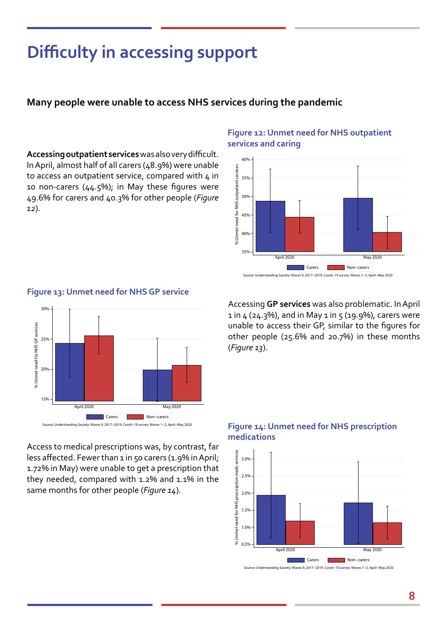# **Difficulty in accessing support**

### **Many people were unable to access NHS services during the pandemic**

**Accessing outpatient services** was also very difficult. In April, almost half of all carers (48.9%) were unable to access an outpatient service, compared with 4 in 10 non-carers (44.5%); in May these figures were 49.6% for carers and 40.3% for other people (*Figure 12*).

### **Figure 12: Unmet need for NHS outpatient services and caring**





#### **Figure 13: Unmet need for NHS GP service**

Access to medical prescriptions was, by contrast, far less affected. Fewer than 1 in 50 carers (1.9% in April; 1.72% in May) were unable to get a prescription that they needed, compared with 1.2% and 1.1% in the same months for other people (*Figure 14*).

Accessing **GP services** was also problematic. In April  $1$  in  $4$  (24.3%), and in May  $1$  in  $5$  (19.9%), carers were unable to access their GP, similar to the figures for other people (25.6% and 20.7%) in these months (*Figure 13*).

#### **Figure 14: Unmet need for NHS prescription medications**



Source: Understanding Society: Waves 9, 2017−2019, Covid−19 survey: Waves 1−2, April−May 2020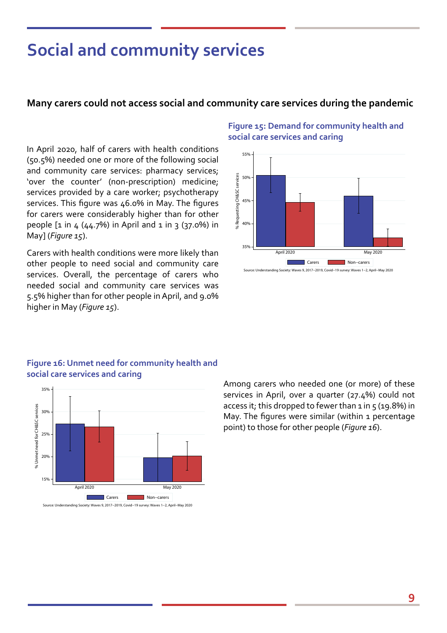### **Social and community services**

### **Many carers could not access social and community care services during the pandemic**

In April 2020, half of carers with health conditions (50.5%) needed one or more of the following social and community care services: pharmacy services; 'over the counter' (non-prescription) medicine; services provided by a care worker; psychotherapy services. This figure was 46.0% in May. The figures for carers were considerably higher than for other people  $[1 \text{ in } 4 (44.7%)$  in April and  $1 \text{ in } 3 (37.0%)$  in May] (*Figure 15*).

Carers with health conditions were more likely than other people to need social and community care services. Overall, the percentage of carers who needed social and community care services was 5.5% higher than for other people in April, and 9.0% higher in May (*Figure 15*).

### **Figure 15: Demand for community health and social care services and caring**



### **Figure 16: Unmet need for community health and social care services and caring**



Among carers who needed one (or more) of these services in April, over a quarter (27.4%) could not access it; this dropped to fewer than  $1$  in  $5$  (19.8%) in May. The figures were similar (within 1 percentage point) to those for other people (*Figure 16*).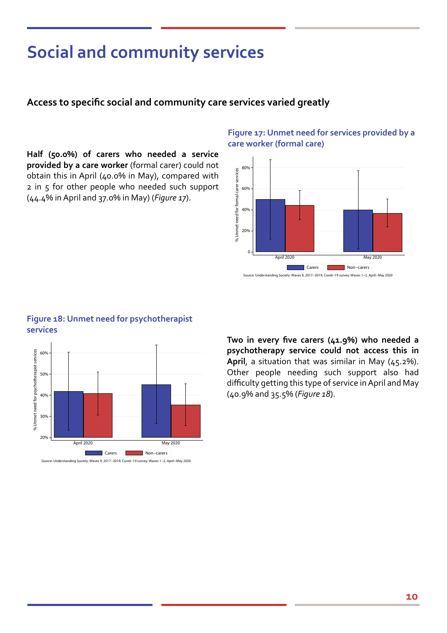# **Social and community services**

### **Access to specific social and community care services varied greatly**

**Half (50.0%) of carers who needed a service provided by a care worker** (formal carer) could not obtain this in April (40.0% in May), compared with 2 in 5 for other people who needed such support (44.4% in April and 37.0% in May) (*Figure 17*).

### **Figure 17: Unmet need for services provided by a care worker (formal care)**



### **Figure 18: Unmet need for psychotherapist services**



**Two in every five carers (41.9%) who needed a psychotherapy service could not access this in April**, a situation that was similar in May (45.2%). Other people needing such support also had difficulty getting this type of service in April and May (40.9% and 35.5% (*Figure 18*).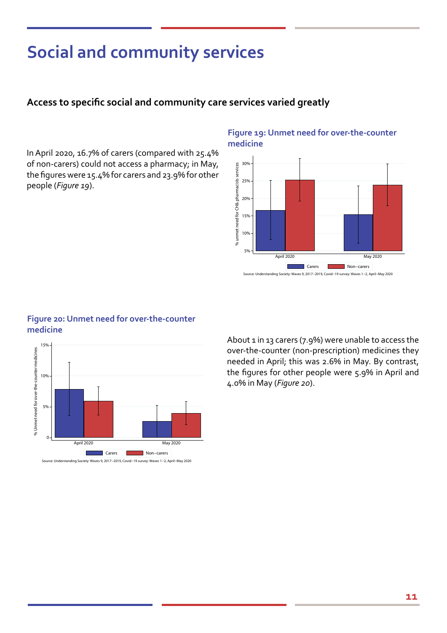# **Social and community services**

### **Access to specific social and community care services varied greatly**

In April 2020, 16.7% of carers (compared with 25.4% of non-carers) could not access a pharmacy; in May, the figures were 15.4% for carers and 23.9% for other people (*Figure 19*).

#### **Figure 19: Unmet need for over-the-counter medicine**



### **Figure 20: Unmet need for over-the-counter medicine**



About 1 in 13 carers (7.9%) were unable to access the over-the-counter (non-prescription) medicines they needed in April; this was 2.6% in May. By contrast, the figures for other people were 5.9% in April and 4.0% in May (*Figure 20*).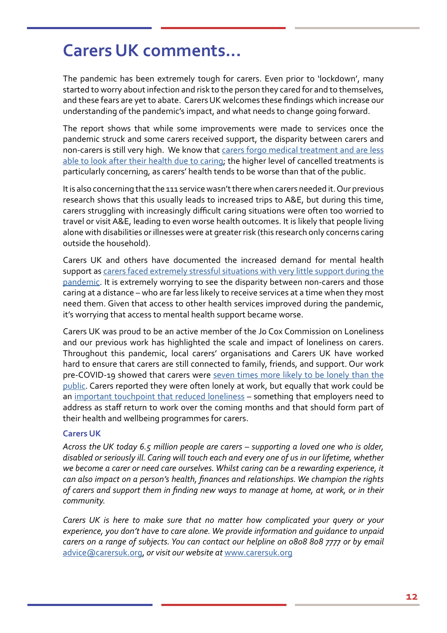### **Carers UK comments...**

The pandemic has been extremely tough for carers. Even prior to 'lockdown', many started to worry about infection and risk to the person they cared for and to themselves, and these fears are yet to abate. Carers UK welcomes these findings which increase our understanding of the pandemic's impact, and what needs to change going forward.

The report shows that while some improvements were made to services once the pandemic struck and some carers received support, the disparity between carers and non-carers is still very high. We know that [carers forgo medical treatment and are less](https://www.carersweek.org/images/Resources/CW18_Research_Report.pdf) [able to look after their health due to caring](https://www.carersweek.org/images/Resources/CW18_Research_Report.pdf); the higher level of cancelled treatments is particularly concerning, as carers' health tends to be worse than that of the public.

It is also concerning that the 111 service wasn't there when carers needed it. Our previous research shows that this usually leads to increased trips to A&E, but during this time, carers struggling with increasingly difficult caring situations were often too worried to travel or visit A&E, leading to even worse health outcomes. It is likely that people living alone with disabilities or illnesses were at greater risk (this research only concerns caring outside the household).

Carers UK and others have documented the increased demand for mental health support as [carers faced extremely stressful situations with very little support during the](https://www.carersuk.org/images/News_and_campaigns/Behind_Closed_Doors_2020/Caring_behind_closed_doors_April20_pages_web_final.pdf) [pandemic.](https://www.carersuk.org/images/News_and_campaigns/Behind_Closed_Doors_2020/Caring_behind_closed_doors_April20_pages_web_final.pdf) It is extremely worrying to see the disparity between non-carers and those caring at a distance – who are far less likely to receive services at a time when they most need them. Given that access to other health services improved during the pandemic, it's worrying that access to mental health support became worse.

Carers UK was proud to be an active member of the Jo Cox Commission on Loneliness and our previous work has highlighted the scale and impact of loneliness on carers. Throughout this pandemic, local carers' organisations and Carers UK have worked hard to ensure that carers are still connected to family, friends, and support. Our work pre-COVID-19 showed that carers were [seven times more likely to be lonely than the](https://www.carersweek.org/images/CW19_Research_Report_web.pdf) [public](https://www.carersweek.org/images/CW19_Research_Report_web.pdf). Carers reported they were often lonely at work, but equally that work could be an [important touchpoint that reduced loneliness](https://www.carersuk.org/for-professionals/policy/policy-library/caring-and-isolation-in-the-workplace) - something that employers need to address as staff return to work over the coming months and that should form part of their health and wellbeing programmes for carers.

### **Carers UK**

*Across the UK today 6.5 million people are carers – supporting a loved one who is older, disabled or seriously ill. Caring will touch each and every one of us in our lifetime, whether we become a carer or need care ourselves. Whilst caring can be a rewarding experience, it can also impact on a person's health, finances and relationships. We champion the rights of carers and support them in finding new ways to manage at home, at work, or in their community.*

*Carers UK is here to make sure that no matter how complicated your query or your experience, you don't have to care alone. We provide information and guidance to unpaid carers on a range of subjects. You can contact our helpline on 0808 808 7777 or by email*  [advice@carersuk.org,](mailto:advice@carersuk.org) *or visit our website at* [www.carersuk.org](http://www.carersuk.org)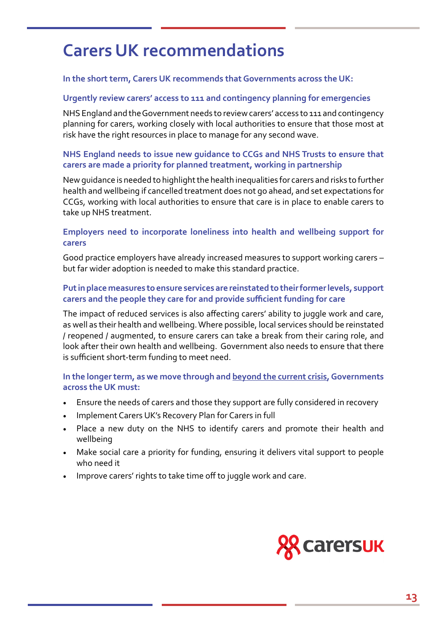### **Carers UK recommendations**

### **In the short term, Carers UK recommends that Governments across the UK:**

### **Urgently review carers' access to 111 and contingency planning for emergencies**

NHS England and the Government needs to review carers' access to 111 and contingency planning for carers, working closely with local authorities to ensure that those most at risk have the right resources in place to manage for any second wave.

### **NHS England needs to issue new guidance to CCGs and NHS Trusts to ensure that carers are made a priority for planned treatment, working in partnership**

New guidance is needed to highlight the health inequalities for carers and risks to further health and wellbeing if cancelled treatment does not go ahead, and set expectations for CCGs, working with local authorities to ensure that care is in place to enable carers to take up NHS treatment.

### **Employers need to incorporate loneliness into health and wellbeing support for carers**

Good practice employers have already increased measures to support working carers – but far wider adoption is needed to make this standard practice.

### **Put in place measures to ensure services are reinstated to their former levels, support carers and the people they care for and provide sufficient funding for care**

The impact of reduced services is also affecting carers' ability to juggle work and care, as well as their health and wellbeing. Where possible, local services should be reinstated / reopened / augmented, to ensure carers can take a break from their caring role, and look after their own health and wellbeing. Government also needs to ensure that there is sufficient short-term funding to meet need.

### **In the longer term, as we move through and beyond the current crisis, Governments across the UK must:**

- Ensure the needs of carers and those they support are fully considered in recovery
- Implement Carers UK's Recovery Plan for Carers in full
- Place a new duty on the NHS to identify carers and promote their health and wellbeing
- Make social care a priority for funding, ensuring it delivers vital support to people who need it
- Improve carers' rights to take time off to juggle work and care.

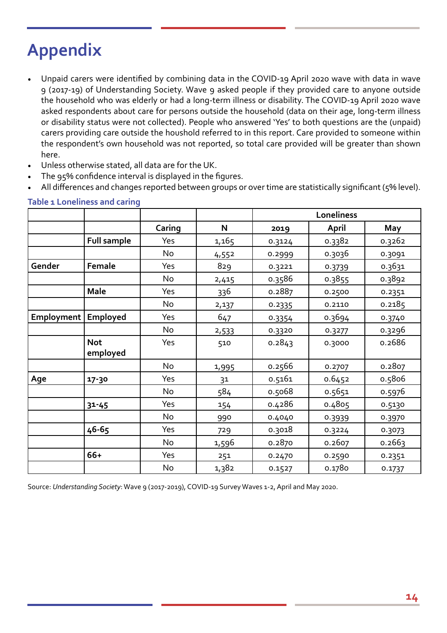# **Appendix**

- Unpaid carers were identified by combining data in the COVID-19 April 2020 wave with data in wave 9 (2017-19) of Understanding Society. Wave 9 asked people if they provided care to anyone outside the household who was elderly or had a long-term illness or disability. The COVID-19 April 2020 wave asked respondents about care for persons outside the household (data on their age, long-term illness or disability status were not collected). People who answered 'Yes' to both questions are the (unpaid) carers providing care outside the houshold referred to in this report. Care provided to someone within the respondent's own household was not reported, so total care provided will be greater than shown here.
- Unless otherwise stated, all data are for the UK.
- The 95% confidence interval is displayed in the figures.
- All differences and changes reported between groups or over time are statistically significant (5% level).

|            |                        |        |       | Loneliness |        |        |  |
|------------|------------------------|--------|-------|------------|--------|--------|--|
|            |                        | Caring | N     | 2019       | April  | May    |  |
|            | <b>Full sample</b>     | Yes    | 1,165 | 0.3124     | 0.3382 | 0.3262 |  |
|            |                        | No     | 4,552 | 0.2999     | 0.3036 | 0.3091 |  |
| Gender     | Female                 | Yes    | 829   | 0.3221     | 0.3739 | 0.3631 |  |
|            |                        | No     | 2,415 | 0.3586     | 0.3855 | 0.3892 |  |
|            | <b>Male</b>            | Yes    | 336   | 0.2887     | 0.2500 | 0.2351 |  |
|            |                        | No     | 2,137 | 0.2335     | 0.2110 | 0.2185 |  |
| Employment | Employed               | Yes    | 647   | 0.3354     | 0.3694 | 0.3740 |  |
|            |                        | No     | 2,533 | 0.3320     | 0.3277 | 0.3296 |  |
|            | <b>Not</b><br>employed | Yes    | 510   | 0.2843     | 0.3000 | 0.2686 |  |
|            |                        | No     | 1,995 | 0.2566     | 0.2707 | 0.2807 |  |
| Age        | 17-30                  | Yes    | 31    | 0.5161     | 0.6452 | 0.5806 |  |
|            |                        | No     | 584   | 0.5068     | 0.5651 | 0.5976 |  |
|            | $31 - 45$              | Yes    | 154   | 0.4286     | 0.4805 | 0.5130 |  |
|            |                        | No     | 990   | 0.4040     | 0.3939 | 0.3970 |  |
|            | 46-65                  | Yes    | 729   | 0.3018     | 0.3224 | 0.3073 |  |
|            |                        | No     | 1,596 | 0.2870     | 0.2607 | 0.2663 |  |
|            | 66+                    | Yes    | 251   | 0.2470     | 0.2590 | 0.2351 |  |
|            |                        | No     | 1,382 | 0.1527     | 0.1780 | 0.1737 |  |

#### **Table 1 Loneliness and caring**

Source: *Understanding Society*: Wave 9 (2017-2019), COVID-19 Survey Waves 1-2, April and May 2020.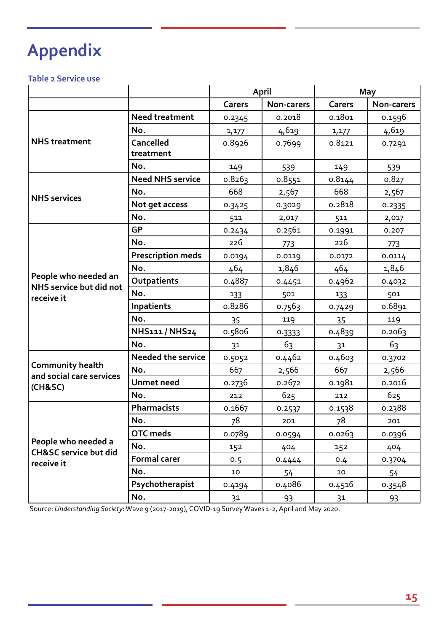# **Appendix**

### **Table 2 Service use**

|                                                                       |                           | April  |            | May            |            |
|-----------------------------------------------------------------------|---------------------------|--------|------------|----------------|------------|
|                                                                       |                           | Carers | Non-carers | Carers         | Non-carers |
|                                                                       | <b>Need treatment</b>     | 0.2345 | 0.2018     | 0.1801         | 0.1596     |
|                                                                       | No.                       | 1,177  | 4,619      | 1,177          | 4,619      |
| <b>NHS</b> treatment                                                  | Cancelled                 | 0.8926 | 0.7699     | 0.8121         | 0.7291     |
|                                                                       | treatment                 |        |            |                |            |
|                                                                       | No.                       | 149    | 539        | 149            | 539        |
|                                                                       | <b>Need NHS service</b>   | 0.8263 | 0.8551     | 0.8144         | 0.827      |
| <b>NHS</b> services                                                   | No.                       | 668    | 2,567      | 668            | 2,567      |
|                                                                       | Not get access            | 0.3425 | 0.3029     | 0.2818         | 0.2335     |
|                                                                       | No.                       | 511    | 2,017      | 511            | 2,017      |
|                                                                       | <b>GP</b>                 | 0.2434 | 0.2561     | 0.1991         | 0.207      |
|                                                                       | No.                       | 226    | 773        | 226            | 773        |
|                                                                       | <b>Prescription meds</b>  | 0.0194 | 0.0119     | 0.0172         | 0.0114     |
|                                                                       | No.                       | 464    | 1,846      | 464            | 1,846      |
| People who needed an<br>NHS service but did not                       | Outpatients               | 0.4887 | 0.4451     | 0.4962         | 0.4032     |
| receive it                                                            | No.                       | 133    | 501        | 133            | 501        |
|                                                                       | Inpatients                | 0.8286 | 0.7563     | 0.7429         | 0.6891     |
|                                                                       | No.                       | 35     | 119        | 35             | 119        |
|                                                                       | NHS111 / NHS24            | 0.5806 | 0.3333     | 0.4839         | 0.2063     |
|                                                                       | No.                       | 31     | 63         | 3 <sup>1</sup> | 63         |
| <b>Community health</b><br>and social care services<br>(CH8SC)        | <b>Needed the service</b> | 0.5052 | 0.4462     | 0.4603         | 0.3702     |
|                                                                       | No.                       | 667    | 2,566      | 667            | 2,566      |
|                                                                       | <b>Unmet need</b>         | 0.2736 | 0.2672     | 0.1981         | 0.2016     |
|                                                                       | No.                       | 212    | 625        | 212            | 625        |
|                                                                       | Pharmacists               | 0.1667 | 0.2537     | 0.1538         | 0.2388     |
|                                                                       | No.                       | 78     | 201        | 78             | 201        |
|                                                                       | <b>OTC</b> meds           | 0.0789 | 0.0594     | 0.0263         | 0.0396     |
| People who needed a<br><b>CH&amp;SC service but did</b><br>receive it | No.                       | 152    | 404        | 152            | 404        |
|                                                                       | <b>Formal carer</b>       | 0.5    | 0.4444     | 0.4            | 0.3704     |
|                                                                       | No.                       | 10     | 54         | $10$           | 54         |
|                                                                       | Psychotherapist           | 0.4194 | 0.4086     | 0.4516         | 0.3548     |
|                                                                       | No.                       | 31     | 93         | 31             | 93         |

Source: *Understanding Society*: Wave 9 (2017-2019), COVID-19 Survey Waves 1-2, April and May 2020.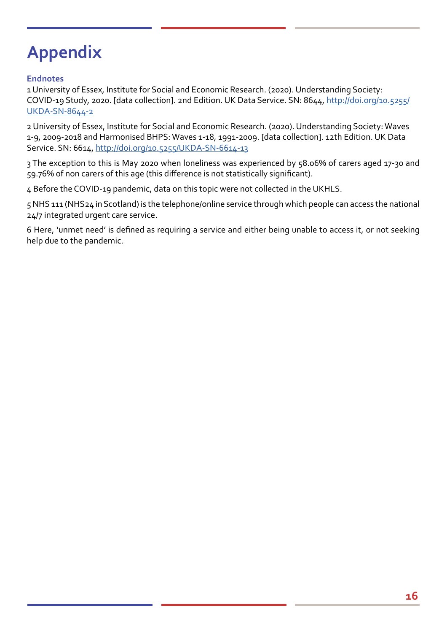# **Appendix**

### **Endnotes**

1 University of Essex, Institute for Social and Economic Research. (2020). Understanding Society: COVID-19 Study, 2020. [data collection]. 2nd Edition. UK Data Service. SN: 8644, http://doi.org/10.5255/ UKDA-SN-8644-2

2 University of Essex, Institute for Social and Economic Research. (2020). Understanding Society: Waves 1-9, 2009-2018 and Harmonised BHPS: Waves 1-18, 1991-2009. [data collection]. 12th Edition. UK Data Service. SN: 6614,<http://doi.org/10.5255/UKDA-SN-6614-13>

3 The exception to this is May 2020 when loneliness was experienced by 58.06% of carers aged 17-30 and 59.76% of non carers of this age (this difference is not statistically significant).

4 Before the COVID-19 pandemic, data on this topic were not collected in the UKHLS.

5 NHS 111 (NHS24 in Scotland) is the telephone/online service through which people can access the national 24/7 integrated urgent care service.

6 Here, 'unmet need' is defined as requiring a service and either being unable to access it, or not seeking help due to the pandemic.